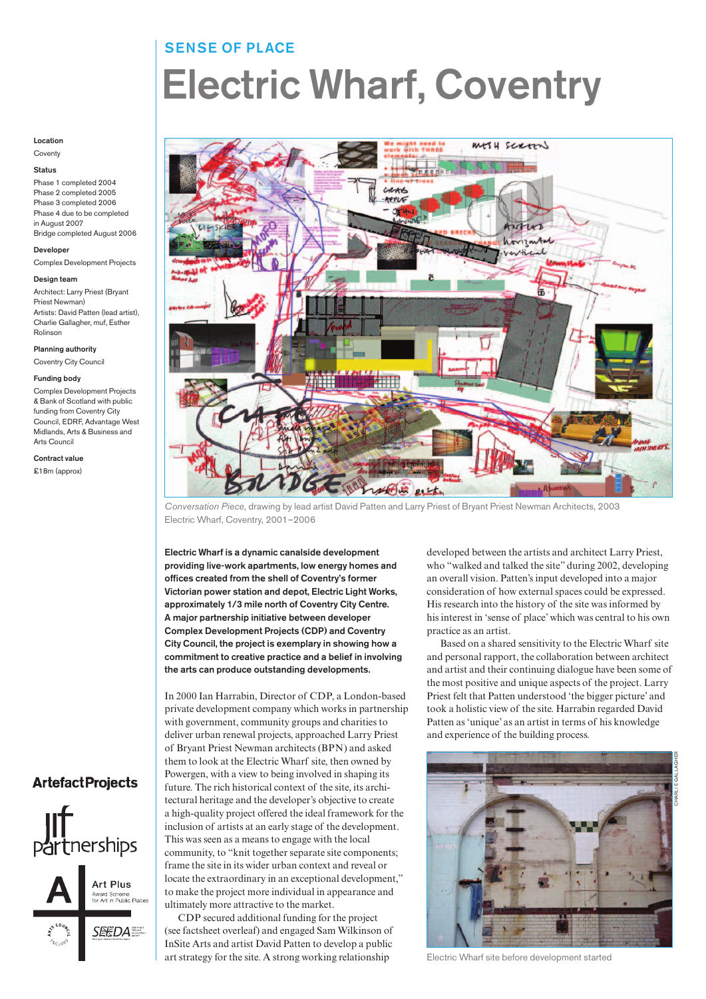# SENSE OF PLACE Electric Wharf, Coventry

### Location

**Coventy** 

## Status

Phase 1 completed 2004 Phase 2 completed 2005 Phase 3 completed 2006 Phase 4 due to be completed in August 2007 Bridge completed August 2006

## Developer Complex Development Projects

# Design team

Architect: Larry Priest (Bryant Priest Newman) Artists: David Patten (lead artist), Charlie Gallagher, muf, Esther Rolinson

#### Planning authority

Coventry City Council

#### Funding body

Complex Development Projects & Bank of Scotland with public funding from Coventry City Council, EDRF, Advantage West Midlands, Arts & Business and Arts Council

Contract value £18m (approx)



Conversation Piece, drawing by lead artist David Patten and Larry Priest of Bryant Priest Newman Architects, 2003 Electric Wharf, Coventry, 2001–2006

Electric Wharf is a dynamic canalside development providing live-work apartments, low energy homes and offices created from the shell of Coventry's former Victorian power station and depot, Electric Light Works, approximately 1/3 mile north of Coventry City Centre. A major partnership initiative between developer Complex Development Projects (CDP) and Coventry City Council, the project is exemplary in showing how a commitment to creative practice and a belief in involving the arts can produce outstanding developments.

In 2000 Ian Harrabin, Director of CDP, a London-based private development company which works in partnership with government, community groups and charities to deliver urban renewal projects, approached Larry Priest of Bryant Priest Newman architects (BPN) and asked them to look at the Electric Wharf site, then owned by Powergen, with a view to being involved in shaping its future. The rich historical context of the site, its architectural heritage and the developer's objective to create a high-quality project offered the ideal framework for the inclusion of artists at an early stage of the development. This was seen as a means to engage with the local community, to "knit together separate site components; frame the site in its wider urban context and reveal or locate the extraordinary in an exceptional development," to make the project more individual in appearance and ultimately more attractive to the market.

CDP secured additional funding for the project (see factsheet overleaf) and engaged Sam Wilkinson of InSite Arts and artist David Patten to develop a public art strategy for the site. A strong working relationship

developed between the artists and architect Larry Priest, who "walked and talked the site" during 2002, developing an overall vision. Patten's input developed into a major consideration of how external spaces could be expressed. His research into the history of the site was informed by his interest in 'sense of place' which was central to his own practice as an artist.

Based on a shared sensitivity to the Electric Wharf site and personal rapport, the collaboration between architect and artist and their continuing dialogue have been some of the most positive and unique aspects of the project. Larry Priest felt that Patten understood 'the bigger picture' and took a holistic view of the site. Harrabin regarded David Patten as 'unique' as an artist in terms of his knowledge and experience of the building process.



Electric Wharf site before development started